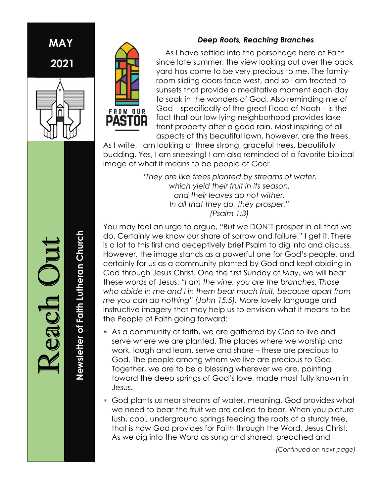MAY

2021



**FROM OUR PASTOR** 

#### Deep Roots, Reaching Branches

 As I have settled into the parsonage here at Faith since late summer, the view looking out over the back yard has come to be very precious to me. The familyroom sliding doors face west, and so I am treated to sunsets that provide a meditative moment each day to soak in the wonders of God. Also reminding me of God – specifically of the great Flood of Noah – is the fact that our low-lying neighborhood provides lakefront property after a good rain. Most inspiring of all aspects of this beautiful lawn, however, are the trees.

As I write, I am looking at three strong, graceful trees, beautifully budding. Yes, I am sneezing! I am also reminded of a favorite biblical image of what it means to be people of God:

> "They are like trees planted by streams of water, which yield their fruit in its season, and their leaves do not wither. In all that they do, they prosper." (Psalm 1:3)

You may feel an urge to argue, "But we DON'T prosper in all that we do. Certainly we know our share of sorrow and failure." I get it. There is a lot to this first and deceptively brief Psalm to dig into and discuss. However, the image stands as a powerful one for God's people, and certainly for us as a community planted by God and kept abiding in God through Jesus Christ. One the first Sunday of May, we will hear these words of Jesus: "I am the vine, you are the branches. Those who abide in me and I in them bear much fruit, because apart from me you can do nothing" (John 15:5). More lovely language and instructive imagery that may help us to envision what it means to be the People of Faith going forward:

- As a community of faith, we are gathered by God to live and serve where we are planted. The places where we worship and work, laugh and learn, serve and share – these are precious to God. The people among whom we live are precious to God. Together, we are to be a blessing wherever we are, pointing toward the deep springs of God's love, made most fully known in Jesus.
- God plants us near streams of water, meaning, God provides what we need to bear the fruit we are called to bear. When you picture lush, cool, underground springs feeding the roots of a sturdy tree, that is how God provides for Faith through the Word, Jesus Christ. As we dig into the Word as sung and shared, preached and

 $\mathbb{R}$ Cach Out  $\mathbb{R}$ <br>Newsletter of Faith Lutheran Church

(Continued on next page)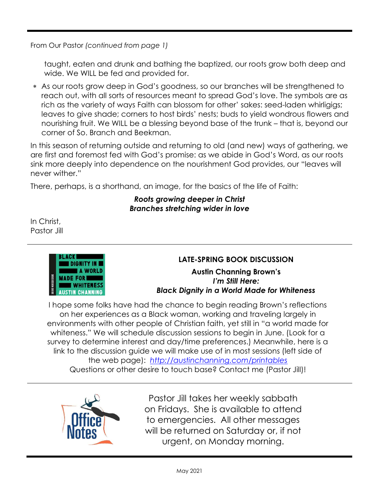From Our Pastor (continued from page 1)

 taught, eaten and drunk and bathing the baptized, our roots grow both deep and wide. We WILL be fed and provided for.

 As our roots grow deep in God's goodness, so our branches will be strengthened to reach out, with all sorts of resources meant to spread God's love. The symbols are as rich as the variety of ways Faith can blossom for other' sakes: seed-laden whirligigs; leaves to give shade; corners to host birds' nests; buds to yield wondrous flowers and nourishing fruit. We WILL be a blessing beyond base of the trunk – that is, beyond our corner of So. Branch and Beekman.

In this season of returning outside and returning to old (and new) ways of gathering, we are first and foremost fed with God's promise: as we abide in God's Word, as our roots sink more deeply into dependence on the nourishment God provides, our "leaves will never wither."

There, perhaps, is a shorthand, an image, for the basics of the life of Faith:

Roots growing deeper in Christ Branches stretching wider in love

In Christ, Pastor Jill



### LATE-SPRING BOOK DISCUSSION Austin Channing Brown's I'm Still Here: Black Dignity in a World Made for Whiteness

I hope some folks have had the chance to begin reading Brown's reflections on her experiences as a Black woman, working and traveling largely in environments with other people of Christian faith, yet still in "a world made for whiteness." We will schedule discussion sessions to begin in June. (Look for a survey to determine interest and day/time preferences.) Meanwhile, here is a link to the discussion guide we will make use of in most sessions (left side of the web page): http://austinchanning.com/printables Questions or other desire to touch base? Contact me (Pastor Jill)!



Pastor Jill takes her weekly sabbath on Fridays. She is available to attend to emergencies. All other messages will be returned on Saturday or, if not urgent, on Monday morning.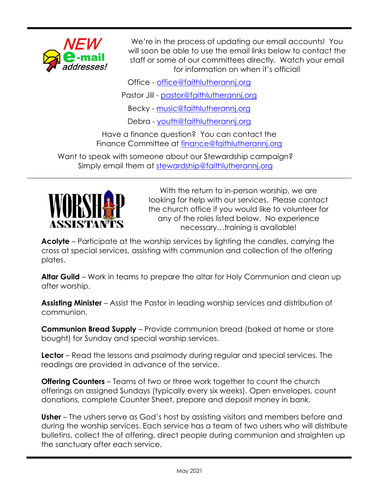

We're in the process of updating our email accounts! You will soon be able to use the email links below to contact the staff or some of our committees directly. Watch your email for information on when it's official!

Office - office@faithlutherannj.org

Pastor Jill - pastor@faithlutherannj.org

Becky - music@faithlutherannj.org

Debra - youth@faithlutherannj.org

Have a finance question? You can contact the Finance Committee at finance@faithlutherannj.org

Want to speak with someone about our Stewardship campaign? Simply email them at stewardship@faithlutherannj.org



With the return to in-person worship, we are looking for help with our services. Please contact the church office if you would like to volunteer for any of the roles listed below. No experience necessary…training is available!

Acolyte – Participate at the worship services by lighting the candles, carrying the cross at special services, assisting with communion and collection of the offering plates.

Altar Guild – Work in teams to prepare the altar for Holy Communion and clean up after worship.

Assisting Minister – Assist the Pastor in leading worship services and distribution of communion.

**Communion Bread Supply** – Provide communion bread (baked at home or store bought) for Sunday and special worship services.

Lector – Read the lessons and psalmody during regular and special services. The readings are provided in advance of the service.

**Offering Counters** – Teams of two or three work together to count the church offerings on assigned Sundays (typically every six weeks). Open envelopes, count donations, complete Counter Sheet, prepare and deposit money in bank.

Usher – The ushers serve as God's host by assisting visitors and members before and during the worship services. Each service has a team of two ushers who will distribute bulletins, collect the of offering, direct people during communion and straighten up the sanctuary after each service.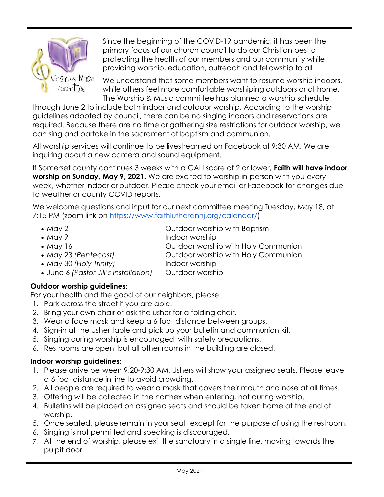

Since the beginning of the COVID-19 pandemic, it has been the primary focus of our church council to do our Christian best at protecting the health of our members and our community while providing worship, education, outreach and fellowship to all.

We understand that some members want to resume worship indoors, while others feel more comfortable worshiping outdoors or at home. The Worship & Music committee has planned a worship schedule

through June 2 to include both indoor and outdoor worship. According to the worship guidelines adopted by council, there can be no singing indoors and reservations are required. Because there are no time or gathering size restrictions for outdoor worship, we can sing and partake in the sacrament of baptism and communion.

All worship services will continue to be livestreamed on Facebook at 9:30 AM. We are inquiring about a new camera and sound equipment.

If Somerset county continues 3 weeks with a CALI score of 2 or lower, **Faith will have indoor** worship on Sunday, May 9, 2021. We are excited to worship in-person with you every week, whether indoor or outdoor. Please check your email or Facebook for changes due to weather or county COVID reports.

We welcome questions and input for our next committee meeting Tuesday, May 18, at 7:15 PM (zoom link on https://www.faithlutherannj.org/calendar/)

- May 2 **Canadian Couldoor worship with Baptism**
- May 9 **Indoor worship**
- May 16 **May 16 Cullet Accord Culture** Outdoor worship with Holy Communion
- May 23 (Pentecost) Outdoor worship with Holy Communion
- May 30 (Holy Trinity) Indoor worship
- June 6 (Pastor Jill's Installation) Outdoor worship

### Outdoor worship guidelines:

For your health and the good of our neighbors, please...

- 1. Park across the street if you are able.
- 2. Bring your own chair or ask the usher for a folding chair.
- 3. Wear a face mask and keep a 6 foot distance between groups.
- 4. Sign-in at the usher table and pick up your bulletin and communion kit.
- 5. Singing during worship is encouraged, with safety precautions.
- 6. Restrooms are open, but all other rooms in the building are closed.

#### Indoor worship guidelines:

- 1. Please arrive between 9:20-9:30 AM. Ushers will show your assigned seats. Please leave a 6 foot distance in line to avoid crowding.
- 2. All people are required to wear a mask that covers their mouth and nose at all times.
- 3. Offering will be collected in the narthex when entering, not during worship.
- 4. Bulletins will be placed on assigned seats and should be taken home at the end of worship.
- 5. Once seated, please remain in your seat, except for the purpose of using the restroom.
- 6. Singing is not permitted and speaking is discouraged.
- 7. At the end of worship, please exit the sanctuary in a single line, moving towards the pulpit door.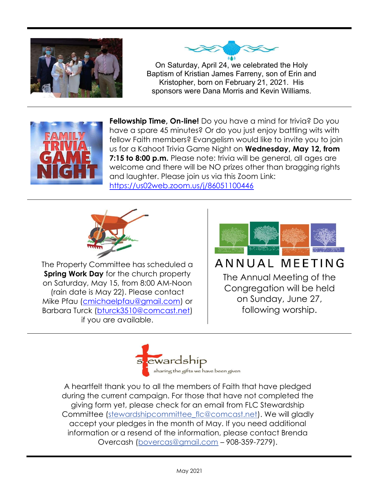



On Saturday, April 24, we celebrated the Holy Baptism of Kristian James Farreny, son of Erin and Kristopher, born on February 21, 2021. His sponsors were Dana Morris and Kevin Williams.



Fellowship Time, On-line! Do you have a mind for trivia? Do you have a spare 45 minutes? Or do you just enjoy battling wits with fellow Faith members? Evangelism would like to invite you to join us for a Kahoot Trivia Game Night on Wednesday, May 12, from 7:15 to 8:00 p.m. Please note: trivia will be general, all ages are welcome and there will be NO prizes other than bragging rights and laughter. Please join us via this Zoom Link: https://us02web.zoom.us/j/86051100446



The Property Committee has scheduled a Spring Work Day for the church property on Saturday, May 15, from 8:00 AM-Noon (rain date is May 22). Please contact Mike Pfau (cmichaelpfau@gmail.com) or Barbara Turck (bturck3510@comcast.net) if you are available.



# ANNUAL MEETING

The Annual Meeting of the Congregation will be held on Sunday, June 27, following worship.



A heartfelt thank you to all the members of Faith that have pledged during the current campaign. For those that have not completed the giving form yet, please check for an email from FLC Stewardship Committee (stewardshipcommittee flc@comcast.net). We will gladly accept your pledges in the month of May. If you need additional information or a resend of the information, please contact Brenda Overcash (bovercas@gmail.com – 908-359-7279).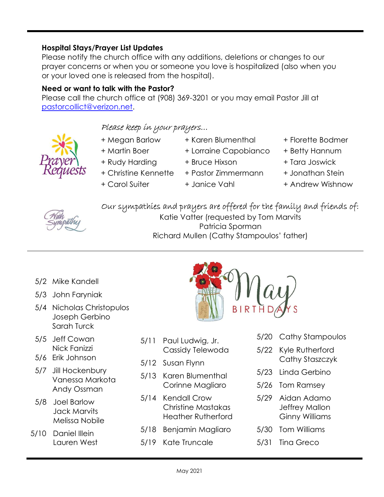#### Hospital Stays/Prayer List Updates

Please notify the church office with any additions, deletions or changes to our prayer concerns or when you or someone you love is hospitalized (also when you or your loved one is released from the hospital).

#### Need or want to talk with the Pastor?

Please call the church office at (908) 369-3201 or you may email Pastor Jill at pastorcollict@verizon.net.

### Please keep in your prayers…



- 
- 
- 
- 
- 
- + Megan Barlow + Karen Blumenthal + Florette Bodmer
- + Martin Boer + Lorraine Capobianco + Betty Hannum
- + Rudy Harding + Bruce Hixson + Tara Joswick
- + Christine Kennette + Pastor Zimmermann + Jonathan Stein
	-
- 
- 
- 
- 
- + Carol Suiter + Janice Vahl + Andrew Wishnow



## Our sympathies and prayers are offered for the family and friends of:

Katie Vatter (requested by Tom Marvits Patricia Sporman Richard Mullen (Cathy Stampoulos' father)

- 5/2 Mike Kandell
- 5/3 John Faryniak
- 5/4 Nicholas Christopulos Joseph Gerbino Sarah Turck
- 5/5 Jeff Cowan Nick Fanizzi
- 5/6 Erik Johnson
- 5/7 Jill Hockenbury Vanessa Markota Andy Ossman
- 5/8 Joel Barlow Jack Marvits Melissa Nobile
- 5/10 Daniel Illein Lauren West



- 5/11 Paul Ludwig, Jr. Cassidy Telewoda
- 5/12 Susan Flynn
- 5/13 Karen Blumenthal Corinne Magliaro
- 5/14 Kendall Crow Christine Mastakas Heather Rutherford
- 5/18 Benjamin Magliaro
- 5/19 Kate Truncale
- 5/20 Cathy Stampoulos
- 5/22 Kyle Rutherford Cathy Staszczyk
- 5/23 Linda Gerbino
- 5/26 Tom Ramsey
- 5/29 Aidan Adamo Jeffrey Mallon Ginny Williams
- 5/30 Tom Williams
- 5/31 Tina Greco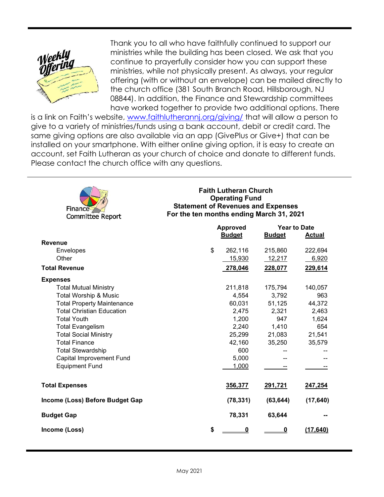

Thank you to all who have faithfully continued to support our ministries while the building has been closed. We ask that you continue to prayerfully consider how you can support these ministries, while not physically present. As always, your regular offering (with or without an envelope) can be mailed directly to the church office (381 South Branch Road, Hillsborough, NJ 08844). In addition, the Finance and Stewardship committees have worked together to provide two additional options. There

is a link on Faith's website, www.faithlutherannj.org/giving/ that will allow a person to give to a variety of ministries/funds using a bank account, debit or credit card. The same giving options are also available via an app (GivePlus or Give+) that can be installed on your smartphone. With either online giving option, it is easy to create an account, set Faith Lutheran as your church of choice and donate to different funds. Please contact the church office with any questions.



#### Faith Lutheran Church Operating Fund Statement of Revenues and Expenses For the ten months ending March 31, 2021

|                                   | <b>Approved</b> |               | <b>Year to Date</b> |  |
|-----------------------------------|-----------------|---------------|---------------------|--|
|                                   | <b>Budget</b>   | <b>Budget</b> | <b>Actual</b>       |  |
| <b>Revenue</b>                    |                 |               |                     |  |
| Envelopes                         | \$<br>262,116   | 215,860       | 222,694             |  |
| Other                             | 15,930          | 12,217        | 6,920               |  |
| <b>Total Revenue</b>              | 278,046         | 228,077       | 229,614             |  |
| <b>Expenses</b>                   |                 |               |                     |  |
| <b>Total Mutual Ministry</b>      | 211,818         | 175,794       | 140,057             |  |
| <b>Total Worship &amp; Music</b>  | 4,554           | 3,792         | 963                 |  |
| <b>Total Property Maintenance</b> | 60,031          | 51,125        | 44,372              |  |
| <b>Total Christian Education</b>  | 2,475           | 2,321         | 2,463               |  |
| <b>Total Youth</b>                | 1,200           | 947           | 1,624               |  |
| <b>Total Evangelism</b>           | 2,240           | 1,410         | 654                 |  |
| <b>Total Social Ministry</b>      | 25,299          | 21,083        | 21,541              |  |
| <b>Total Finance</b>              | 42,160          | 35,250        | 35,579              |  |
| <b>Total Stewardship</b>          | 600             |               |                     |  |
| Capital Improvement Fund          | 5,000           |               |                     |  |
| <b>Equipment Fund</b>             | 1,000           |               |                     |  |
| <b>Total Expenses</b>             | 356,377         | 291,721       | 247,254             |  |
| Income (Loss) Before Budget Gap   | (78, 331)       | (63, 644)     | (17, 640)           |  |
| <b>Budget Gap</b>                 | 78,331          | 63,644        |                     |  |
| Income (Loss)                     | \$              | 0             | (17, 640)           |  |